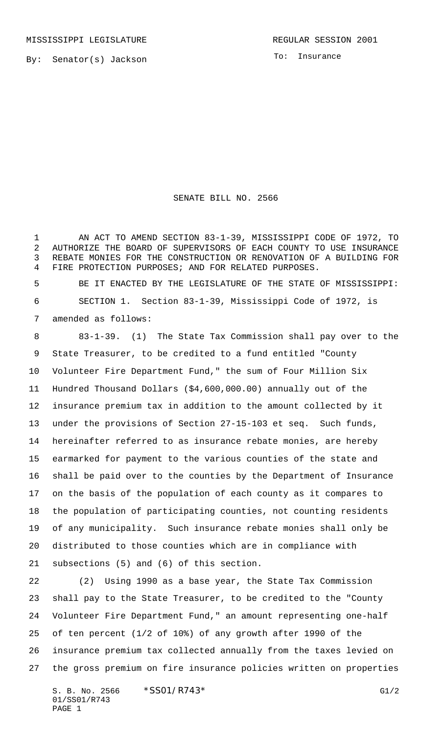To: Insurance

## SENATE BILL NO. 2566

 AN ACT TO AMEND SECTION 83-1-39, MISSISSIPPI CODE OF 1972, TO AUTHORIZE THE BOARD OF SUPERVISORS OF EACH COUNTY TO USE INSURANCE REBATE MONIES FOR THE CONSTRUCTION OR RENOVATION OF A BUILDING FOR FIRE PROTECTION PURPOSES; AND FOR RELATED PURPOSES.

 BE IT ENACTED BY THE LEGISLATURE OF THE STATE OF MISSISSIPPI: SECTION 1. Section 83-1-39, Mississippi Code of 1972, is amended as follows:

 83-1-39. (1) The State Tax Commission shall pay over to the State Treasurer, to be credited to a fund entitled "County Volunteer Fire Department Fund," the sum of Four Million Six Hundred Thousand Dollars (\$4,600,000.00) annually out of the insurance premium tax in addition to the amount collected by it under the provisions of Section 27-15-103 et seq. Such funds, hereinafter referred to as insurance rebate monies, are hereby earmarked for payment to the various counties of the state and shall be paid over to the counties by the Department of Insurance on the basis of the population of each county as it compares to the population of participating counties, not counting residents of any municipality. Such insurance rebate monies shall only be distributed to those counties which are in compliance with subsections (5) and (6) of this section.

 (2) Using 1990 as a base year, the State Tax Commission shall pay to the State Treasurer, to be credited to the "County Volunteer Fire Department Fund," an amount representing one-half of ten percent (1/2 of 10%) of any growth after 1990 of the insurance premium tax collected annually from the taxes levied on the gross premium on fire insurance policies written on properties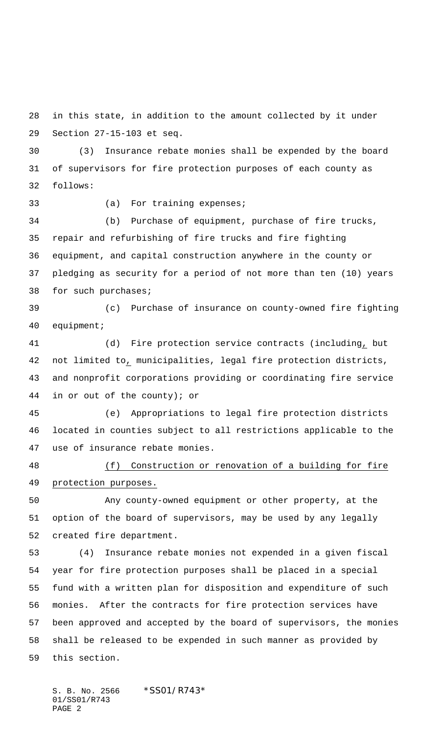in this state, in addition to the amount collected by it under Section 27-15-103 et seq.

 (3) Insurance rebate monies shall be expended by the board of supervisors for fire protection purposes of each county as follows:

33 (a) For training expenses;

 (b) Purchase of equipment, purchase of fire trucks, repair and refurbishing of fire trucks and fire fighting equipment, and capital construction anywhere in the county or pledging as security for a period of not more than ten (10) years for such purchases;

 (c) Purchase of insurance on county-owned fire fighting equipment;

 (d) Fire protection service contracts (including, but not limited to, municipalities, legal fire protection districts, and nonprofit corporations providing or coordinating fire service in or out of the county); or

 (e) Appropriations to legal fire protection districts located in counties subject to all restrictions applicable to the use of insurance rebate monies.

## (f) Construction or renovation of a building for fire protection purposes.

 Any county-owned equipment or other property, at the option of the board of supervisors, may be used by any legally created fire department.

 (4) Insurance rebate monies not expended in a given fiscal year for fire protection purposes shall be placed in a special fund with a written plan for disposition and expenditure of such monies. After the contracts for fire protection services have been approved and accepted by the board of supervisors, the monies shall be released to be expended in such manner as provided by this section.

S. B. No. 2566 \* SS01/R743\* 01/SS01/R743 PAGE 2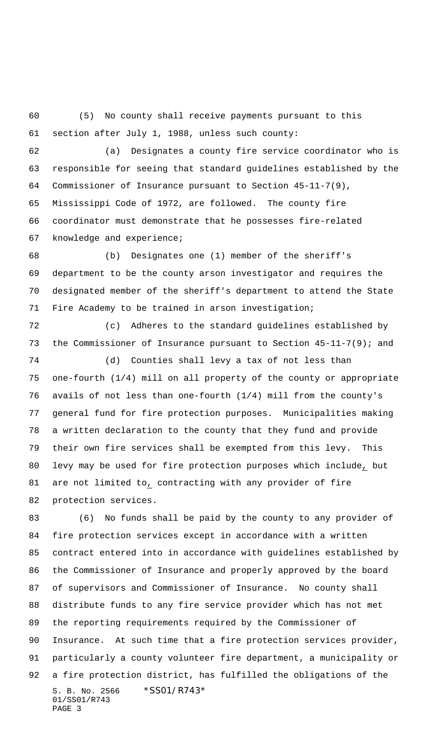(5) No county shall receive payments pursuant to this section after July 1, 1988, unless such county:

 (a) Designates a county fire service coordinator who is responsible for seeing that standard guidelines established by the Commissioner of Insurance pursuant to Section 45-11-7(9), Mississippi Code of 1972, are followed. The county fire coordinator must demonstrate that he possesses fire-related knowledge and experience;

 (b) Designates one (1) member of the sheriff's department to be the county arson investigator and requires the designated member of the sheriff's department to attend the State Fire Academy to be trained in arson investigation;

 (c) Adheres to the standard guidelines established by the Commissioner of Insurance pursuant to Section 45-11-7(9); and

 (d) Counties shall levy a tax of not less than one-fourth (1/4) mill on all property of the county or appropriate avails of not less than one-fourth (1/4) mill from the county's general fund for fire protection purposes. Municipalities making a written declaration to the county that they fund and provide their own fire services shall be exempted from this levy. This levy may be used for fire protection purposes which include, but 81 are not limited to, contracting with any provider of fire protection services.

S. B. No. 2566 \*SS01/R743\* 01/SS01/R743 PAGE 3 (6) No funds shall be paid by the county to any provider of fire protection services except in accordance with a written contract entered into in accordance with guidelines established by the Commissioner of Insurance and properly approved by the board of supervisors and Commissioner of Insurance. No county shall distribute funds to any fire service provider which has not met the reporting requirements required by the Commissioner of Insurance. At such time that a fire protection services provider, particularly a county volunteer fire department, a municipality or a fire protection district, has fulfilled the obligations of the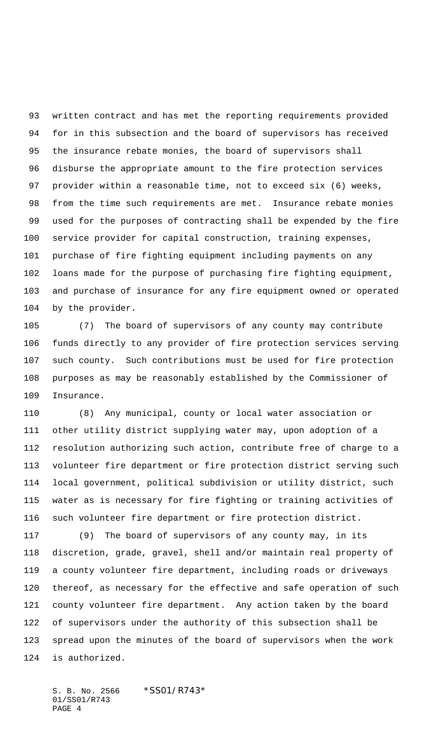written contract and has met the reporting requirements provided for in this subsection and the board of supervisors has received the insurance rebate monies, the board of supervisors shall disburse the appropriate amount to the fire protection services provider within a reasonable time, not to exceed six (6) weeks, from the time such requirements are met. Insurance rebate monies used for the purposes of contracting shall be expended by the fire service provider for capital construction, training expenses, purchase of fire fighting equipment including payments on any loans made for the purpose of purchasing fire fighting equipment, and purchase of insurance for any fire equipment owned or operated by the provider.

 (7) The board of supervisors of any county may contribute funds directly to any provider of fire protection services serving such county. Such contributions must be used for fire protection purposes as may be reasonably established by the Commissioner of Insurance.

 (8) Any municipal, county or local water association or other utility district supplying water may, upon adoption of a resolution authorizing such action, contribute free of charge to a volunteer fire department or fire protection district serving such local government, political subdivision or utility district, such water as is necessary for fire fighting or training activities of such volunteer fire department or fire protection district.

 (9) The board of supervisors of any county may, in its discretion, grade, gravel, shell and/or maintain real property of a county volunteer fire department, including roads or driveways thereof, as necessary for the effective and safe operation of such county volunteer fire department. Any action taken by the board of supervisors under the authority of this subsection shall be spread upon the minutes of the board of supervisors when the work is authorized.

S. B. No. 2566 \* SS01/R743\* 01/SS01/R743 PAGE 4